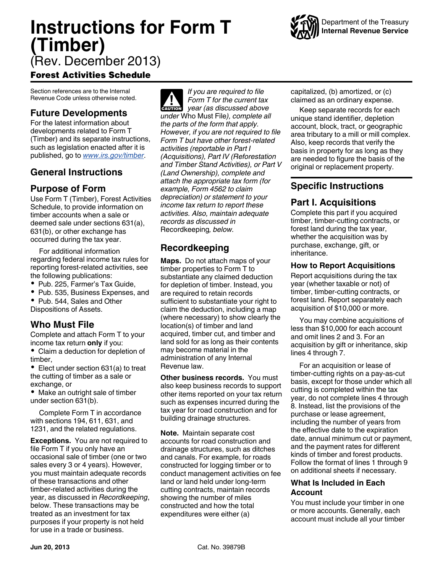# **Instructions for Form T (Timber)**



(Rev. December 2013)

## Forest Activities Schedule

Section references are to the Internal Revenue Code unless otherwise noted.

# **Future Developments**

For the latest information about developments related to Form T (Timber) and its separate instructions, such as legislation enacted after it is published, go to *[www.irs.gov/timber](http://www.irs.gov/timber)*.

# **General Instructions**

## **Purpose of Form**

Use Form T (Timber), Forest Activities Schedule, to provide information on timber accounts when a sale or deemed sale under sections 631(a), 631(b), or other exchange has occurred during the tax year.

For additional information regarding federal income tax rules for reporting forest-related activities, see the following publications:

- Pub. 225, Farmer's Tax Guide,
- Pub. 535, Business Expenses, and
- Pub. 544, Sales and Other Dispositions of Assets.

# **Who Must File**

Complete and attach Form T to your income tax return **only** if you:

Claim a deduction for depletion of timber,

• Elect under section 631(a) to treat the cutting of timber as a sale or exchange, or

• Make an outright sale of timber under section 631(b).

Complete Form T in accordance with sections 194, 611, 631, and 1231, and the related regulations.

**Exceptions.** You are not required to file Form T if you only have an occasional sale of timber (one or two sales every 3 or 4 years). However, you must maintain adequate records of these transactions and other timber-related activities during the year, as discussed in *Recordkeeping*, below. These transactions may be treated as an investment for tax purposes if your property is not held for use in a trade or business.

*If you are required to file Form T for the current tax*  **Property COVERT**<br> **CAUTION** *year (as discussed above under* Who Must File*), complete all the parts of the form that apply. However, if you are not required to file Form T but have other forest-related activities (reportable in Part I (Acquisitions), Part IV (Reforestation and Timber Stand Activities), or Part V (Land Ownership), complete and attach the appropriate tax form (for example, Form 4562 to claim depreciation) or statement to your income tax return to report these activities. Also, maintain adequate records as discussed in*  Recordkeeping*, below.*

# **Recordkeeping**

**Maps.** Do not attach maps of your timber properties to Form T to substantiate any claimed deduction for depletion of timber. Instead, you are required to retain records sufficient to substantiate your right to claim the deduction, including a map (where necessary) to show clearly the location(s) of timber and land acquired, timber cut, and timber and land sold for as long as their contents may become material in the administration of any Internal Revenue law.

**Other business records.** You must also keep business records to support other items reported on your tax return such as expenses incurred during the tax year for road construction and for building drainage structures.

**Note.** Maintain separate cost accounts for road construction and drainage structures, such as ditches and canals. For example, for roads constructed for logging timber or to conduct management activities on fee land or land held under long-term cutting contracts, maintain records showing the number of miles constructed and how the total expenditures were either (a)

capitalized, (b) amortized, or (c) claimed as an ordinary expense.

Keep separate records for each unique stand identifier, depletion account, block, tract, or geographic area tributary to a mill or mill complex. Also, keep records that verify the basis in property for as long as they are needed to figure the basis of the original or replacement property.

# **Specific Instructions**

## **Part I. Acquisitions**

Complete this part if you acquired timber, timber-cutting contracts, or forest land during the tax year, whether the acquisition was by purchase, exchange, gift, or inheritance.

## **How to Report Acquisitions**

Report acquisitions during the tax year (whether taxable or not) of timber, timber-cutting contracts, or forest land. Report separately each acquisition of \$10,000 or more.

You may combine acquisitions of less than \$10,000 for each account and omit lines 2 and 3. For an acquisition by gift or inheritance, skip lines 4 through 7.

For an acquisition or lease of timber-cutting rights on a pay-as-cut basis, except for those under which all cutting is completed within the tax year, do not complete lines 4 through 8. Instead, list the provisions of the purchase or lease agreement, including the number of years from the effective date to the expiration date, annual minimum cut or payment, and the payment rates for different kinds of timber and forest products. Follow the format of lines 1 through 9 on additional sheets if necessary.

## **What Is Included in Each Account**

You must include your timber in one or more accounts. Generally, each account must include all your timber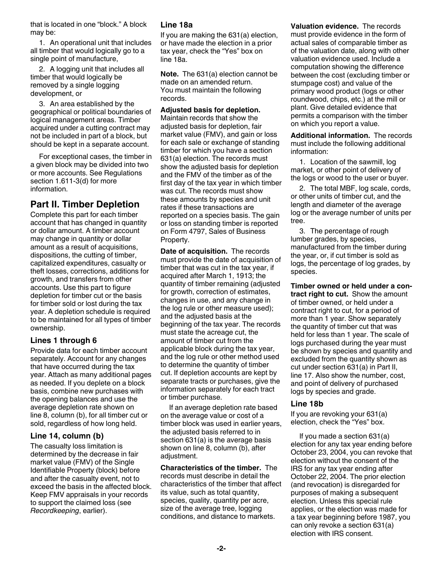that is located in one "block." A block may be:

1. An operational unit that includes all timber that would logically go to a single point of manufacture,

2. A logging unit that includes all timber that would logically be removed by a single logging development, or

3. An area established by the geographical or political boundaries of logical management areas. Timber acquired under a cutting contract may not be included in part of a block, but should be kept in a separate account.

For exceptional cases, the timber in a given block may be divided into two or more accounts. See Regulations section 1.611-3(d) for more information.

## **Part II. Timber Depletion**

Complete this part for each timber account that has changed in quantity or dollar amount. A timber account may change in quantity or dollar amount as a result of acquisitions, dispositions, the cutting of timber, capitalized expenditures, casualty or theft losses, corrections, additions for growth, and transfers from other accounts. Use this part to figure depletion for timber cut or the basis for timber sold or lost during the tax year. A depletion schedule is required to be maintained for all types of timber ownership.

## **Lines 1 through 6**

Provide data for each timber account separately. Account for any changes that have occurred during the tax year. Attach as many additional pages as needed. If you deplete on a block basis, combine new purchases with the opening balances and use the average depletion rate shown on line 8, column (b), for all timber cut or sold, regardless of how long held.

## **Line 14, column (b)**

The casualty loss limitation is determined by the decrease in fair market value (FMV) of the Single Identifiable Property (block) before and after the casualty event, not to exceed the basis in the affected block. Keep FMV appraisals in your records to support the claimed loss (see *Recordkeeping*, earlier).

#### **Line 18a**

If you are making the 631(a) election, or have made the election in a prior tax year, check the "Yes" box on line 18a.

**Note.** The 631(a) election cannot be made on an amended return. You must maintain the following records.

#### **Adjusted basis for depletion.**

Maintain records that show the adjusted basis for depletion, fair market value (FMV), and gain or loss for each sale or exchange of standing timber for which you have a section 631(a) election. The records must show the adjusted basis for depletion and the FMV of the timber as of the first day of the tax year in which timber was cut. The records must show these amounts by species and unit rates if these transactions are reported on a species basis. The gain or loss on standing timber is reported on Form 4797, Sales of Business Property.

**Date of acquisition.** The records must provide the date of acquisition of timber that was cut in the tax year, if acquired after March 1, 1913; the quantity of timber remaining (adjusted for growth, correction of estimates, changes in use, and any change in the log rule or other measure used); and the adjusted basis at the beginning of the tax year. The records must state the acreage cut, the amount of timber cut from the applicable block during the tax year, and the log rule or other method used to determine the quantity of timber cut. If depletion accounts are kept by separate tracts or purchases, give the information separately for each tract or timber purchase.

If an average depletion rate based on the average value or cost of a timber block was used in earlier years, the adjusted basis referred to in section 631(a) is the average basis shown on line 8, column (b), after adjustment.

**Characteristics of the timber.** The records must describe in detail the characteristics of the timber that affect its value, such as total quantity, species, quality, quantity per acre, size of the average tree, logging conditions, and distance to markets.

**Valuation evidence.** The records must provide evidence in the form of actual sales of comparable timber as of the valuation date, along with other valuation evidence used. Include a computation showing the difference between the cost (excluding timber or stumpage cost) and value of the primary wood product (logs or other roundwood, chips, etc.) at the mill or plant. Give detailed evidence that permits a comparison with the timber on which you report a value.

**Additional information.** The records must include the following additional information:

1. Location of the sawmill, log market, or other point of delivery of the logs or wood to the user or buyer.

2. The total MBF, log scale, cords, or other units of timber cut, and the length and diameter of the average log or the average number of units per tree.

3. The percentage of rough lumber grades, by species, manufactured from the timber during the year, or, if cut timber is sold as logs, the percentage of log grades, by species.

**Timber owned or held under a contract right to cut.** Show the amount of timber owned, or held under a contract right to cut, for a period of more than 1 year. Show separately the quantity of timber cut that was held for less than 1 year. The scale of logs purchased during the year must be shown by species and quantity and excluded from the quantity shown as cut under section 631(a) in Part II, line 17. Also show the number, cost, and point of delivery of purchased logs by species and grade.

#### **Line 18b**

If you are revoking your 631(a) election, check the "Yes" box.

If you made a section 631(a) election for any tax year ending before October 23, 2004, you can revoke that election without the consent of the IRS for any tax year ending after October 22, 2004. The prior election (and revocation) is disregarded for purposes of making a subsequent election. Unless this special rule applies, or the election was made for a tax year beginning before 1987, you can only revoke a section 631(a) election with IRS consent.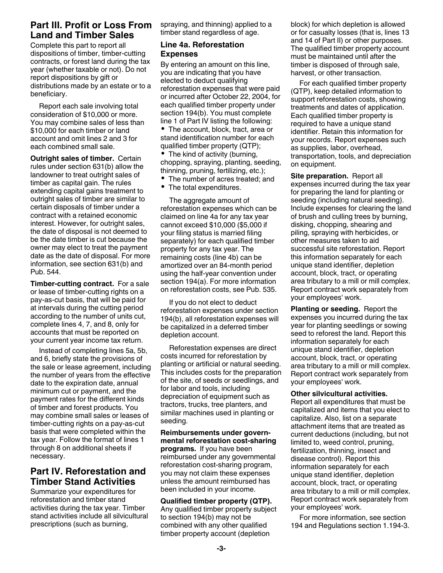## **Part III. Profit or Loss From Land and Timber Sales**

Complete this part to report all dispositions of timber, timber-cutting contracts, or forest land during the tax year (whether taxable or not). Do not report dispositions by gift or distributions made by an estate or to a beneficiary.

Report each sale involving total consideration of \$10,000 or more. You may combine sales of less than \$10,000 for each timber or land account and omit lines 2 and 3 for each combined small sale.

**Outright sales of timber.** Certain rules under section 631(b) allow the landowner to treat outright sales of timber as capital gain. The rules extending capital gains treatment to outright sales of timber are similar to certain disposals of timber under a contract with a retained economic interest. However, for outright sales, the date of disposal is not deemed to be the date timber is cut because the owner may elect to treat the payment date as the date of disposal. For more information, see section 631(b) and Pub. 544.

**Timber-cutting contract.** For a sale or lease of timber-cutting rights on a pay-as-cut basis, that will be paid for at intervals during the cutting period according to the number of units cut, complete lines 4, 7, and 8, only for accounts that must be reported on your current year income tax return.

Instead of completing lines 5a, 5b, and 6, briefly state the provisions of the sale or lease agreement, including the number of years from the effective date to the expiration date, annual minimum cut or payment, and the payment rates for the different kinds of timber and forest products. You may combine small sales or leases of timber-cutting rights on a pay-as-cut basis that were completed within the tax year. Follow the format of lines 1 through 8 on additional sheets if necessary.

## **Part IV. Reforestation and Timber Stand Activities**

Summarize your expenditures for reforestation and timber stand activities during the tax year. Timber stand activities include all silvicultural prescriptions (such as burning,

spraying, and thinning) applied to a timber stand regardless of age.

#### **Line 4a. Reforestation Expenses**

By entering an amount on this line, you are indicating that you have elected to deduct qualifying reforestation expenses that were paid or incurred after October 22, 2004, for each qualified timber property under section 194(b). You must complete line 1 of Part IV listing the following:

• The account, block, tract, area or stand identification number for each qualified timber property (QTP);

• The kind of activity (burning, chopping, spraying, planting, seeding, thinning, pruning, fertilizing, etc.);

- The number of acres treated; and
- The total expenditures.

The aggregate amount of reforestation expenses which can be claimed on line 4a for any tax year cannot exceed \$10,000 (\$5,000 if your filing status is married filing separately) for each qualified timber property for any tax year. The remaining costs (line 4b) can be amortized over an 84-month period using the half-year convention under section 194(a). For more information on reforestation costs, see Pub. 535.

If you do not elect to deduct reforestation expenses under section 194(b), all reforestation expenses will be capitalized in a deferred timber depletion account.

Reforestation expenses are direct costs incurred for reforestation by planting or artificial or natural seeding. This includes costs for the preparation of the site, of seeds or seedlings, and for labor and tools, including depreciation of equipment such as tractors, trucks, tree planters, and similar machines used in planting or seeding.

**Reimbursements under governmental reforestation cost-sharing programs.** If you have been reimbursed under any governmental reforestation cost-sharing program, you may not claim these expenses unless the amount reimbursed has been included in your income.

#### **Qualified timber property (QTP).**  Any qualified timber property subject to section 194(b) may not be combined with any other qualified timber property account (depletion

block) for which depletion is allowed or for casualty losses (that is, lines 13 and 14 of Part II) or other purposes. The qualified timber property account must be maintained until after the timber is disposed of through sale, harvest, or other transaction.

For each qualified timber property (QTP), keep detailed information to support reforestation costs, showing treatments and dates of application. Each qualified timber property is required to have a unique stand identifier. Retain this information for your records. Report expenses such as supplies, labor, overhead, transportation, tools, and depreciation on equipment.

**Site preparation.** Report all expenses incurred during the tax year for preparing the land for planting or seeding (including natural seeding). Include expenses for clearing the land of brush and culling trees by burning, disking, chopping, shearing and piling, spraying with herbicides, or other measures taken to aid successful site reforestation. Report this information separately for each unique stand identifier, depletion account, block, tract, or operating area tributary to a mill or mill complex. Report contract work separately from your employees' work.

**Planting or seeding.** Report the expenses you incurred during the tax year for planting seedlings or sowing seed to reforest the land. Report this information separately for each unique stand identifier, depletion account, block, tract, or operating area tributary to a mill or mill complex. Report contract work separately from your employees' work.

#### **Other silvicultural activities.**

Report all expenditures that must be capitalized and items that you elect to capitalize. Also, list on a separate attachment items that are treated as current deductions (including, but not limited to, weed control, pruning, fertilization, thinning, insect and disease control). Report this information separately for each unique stand identifier, depletion account, block, tract, or operating area tributary to a mill or mill complex. Report contract work separately from your employees' work.

For more information, see section 194 and Regulations section 1.194-3.